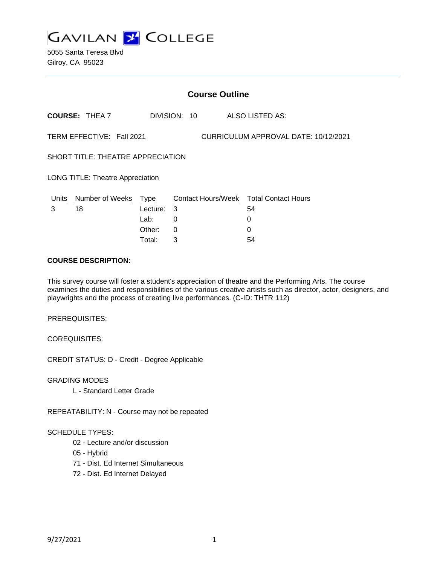

5055 Santa Teresa Blvd Gilroy, CA 95023

| <b>Course Outline</b>                                             |                       |          |              |                                        |  |
|-------------------------------------------------------------------|-----------------------|----------|--------------|----------------------------------------|--|
|                                                                   | <b>COURSE: THEA 7</b> |          | DIVISION: 10 | ALSO LISTED AS:                        |  |
| TERM EFFECTIVE: Fall 2021<br>CURRICULUM APPROVAL DATE: 10/12/2021 |                       |          |              |                                        |  |
| SHORT TITLE: THEATRE APPRECIATION                                 |                       |          |              |                                        |  |
| <b>LONG TITLE: Theatre Appreciation</b>                           |                       |          |              |                                        |  |
| <u>Units</u>                                                      | Number of Weeks Type  |          |              | Contact Hours/Week Total Contact Hours |  |
| 3                                                                 | 18                    | Lecture: | 3            | 54                                     |  |
|                                                                   |                       | Lab:     | 0            | 0                                      |  |
|                                                                   |                       | Other:   | 0            | $\Omega$                               |  |
|                                                                   |                       | Total:   | 3            | 54                                     |  |

#### **COURSE DESCRIPTION:**

This survey course will foster a student's appreciation of theatre and the Performing Arts. The course examines the duties and responsibilities of the various creative artists such as director, actor, designers, and playwrights and the process of creating live performances. (C-ID: THTR 112)

PREREQUISITES:

COREQUISITES:

CREDIT STATUS: D - Credit - Degree Applicable

GRADING MODES

L - Standard Letter Grade

REPEATABILITY: N - Course may not be repeated

#### SCHEDULE TYPES:

- 02 Lecture and/or discussion
- 05 Hybrid
- 71 Dist. Ed Internet Simultaneous
- 72 Dist. Ed Internet Delayed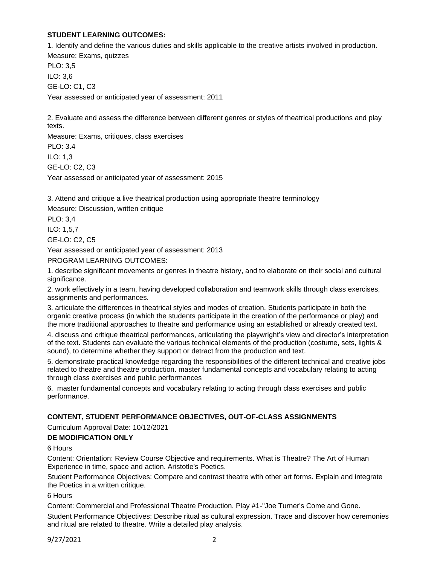### **STUDENT LEARNING OUTCOMES:**

1. Identify and define the various duties and skills applicable to the creative artists involved in production.

Measure: Exams, quizzes PLO: 3,5 ILO: 3,6 GE-LO: C1, C3 Year assessed or anticipated year of assessment: 2011

2. Evaluate and assess the difference between different genres or styles of theatrical productions and play texts.

Measure: Exams, critiques, class exercises PLO: 3.4 ILO: 1,3 GE-LO: C2, C3 Year assessed or anticipated year of assessment: 2015

3. Attend and critique a live theatrical production using appropriate theatre terminology

Measure: Discussion, written critique

PLO: 3,4 ILO: 1,5,7

GE-LO: C2, C5

Year assessed or anticipated year of assessment: 2013

PROGRAM LEARNING OUTCOMES:

1. describe significant movements or genres in theatre history, and to elaborate on their social and cultural significance.

2. work effectively in a team, having developed collaboration and teamwork skills through class exercises, assignments and performances.

3. articulate the differences in theatrical styles and modes of creation. Students participate in both the organic creative process (in which the students participate in the creation of the performance or play) and the more traditional approaches to theatre and performance using an established or already created text.

4. discuss and critique theatrical performances, articulating the playwright's view and director's interpretation of the text. Students can evaluate the various technical elements of the production (costume, sets, lights & sound), to determine whether they support or detract from the production and text.

5. demonstrate practical knowledge regarding the responsibilities of the different technical and creative jobs related to theatre and theatre production. master fundamental concepts and vocabulary relating to acting through class exercises and public performances

6. master fundamental concepts and vocabulary relating to acting through class exercises and public performance.

# **CONTENT, STUDENT PERFORMANCE OBJECTIVES, OUT-OF-CLASS ASSIGNMENTS**

Curriculum Approval Date: 10/12/2021

### **DE MODIFICATION ONLY**

### 6 Hours

Content: Orientation: Review Course Objective and requirements. What is Theatre? The Art of Human Experience in time, space and action. Aristotle's Poetics.

Student Performance Objectives: Compare and contrast theatre with other art forms. Explain and integrate the Poetics in a written critique.

6 Hours

Content: Commercial and Professional Theatre Production. Play #1-"Joe Turner's Come and Gone. Student Performance Objectives: Describe ritual as cultural expression. Trace and discover how ceremonies and ritual are related to theatre. Write a detailed play analysis.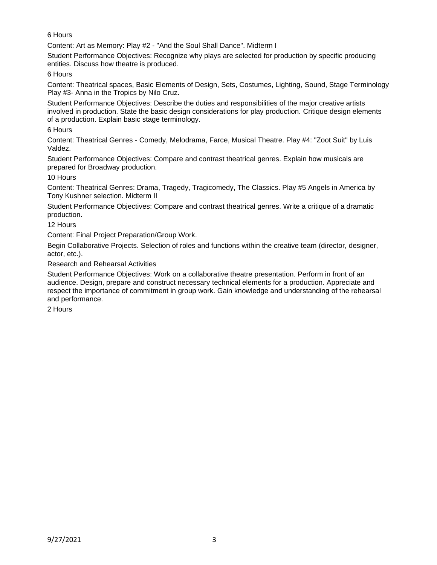6 Hours

Content: Art as Memory: Play #2 - "And the Soul Shall Dance". Midterm I

Student Performance Objectives: Recognize why plays are selected for production by specific producing entities. Discuss how theatre is produced.

6 Hours

Content: Theatrical spaces, Basic Elements of Design, Sets, Costumes, Lighting, Sound, Stage Terminology Play #3- Anna in the Tropics by Nilo Cruz.

Student Performance Objectives: Describe the duties and responsibilities of the major creative artists involved in production. State the basic design considerations for play production. Critique design elements of a production. Explain basic stage terminology.

6 Hours

Content: Theatrical Genres - Comedy, Melodrama, Farce, Musical Theatre. Play #4: "Zoot Suit" by Luis Valdez.

Student Performance Objectives: Compare and contrast theatrical genres. Explain how musicals are prepared for Broadway production.

10 Hours

Content: Theatrical Genres: Drama, Tragedy, Tragicomedy, The Classics. Play #5 Angels in America by Tony Kushner selection. Midterm II

Student Performance Objectives: Compare and contrast theatrical genres. Write a critique of a dramatic production.

12 Hours

Content: Final Project Preparation/Group Work.

Begin Collaborative Projects. Selection of roles and functions within the creative team (director, designer, actor, etc.).

Research and Rehearsal Activities

Student Performance Objectives: Work on a collaborative theatre presentation. Perform in front of an audience. Design, prepare and construct necessary technical elements for a production. Appreciate and respect the importance of commitment in group work. Gain knowledge and understanding of the rehearsal and performance.

2 Hours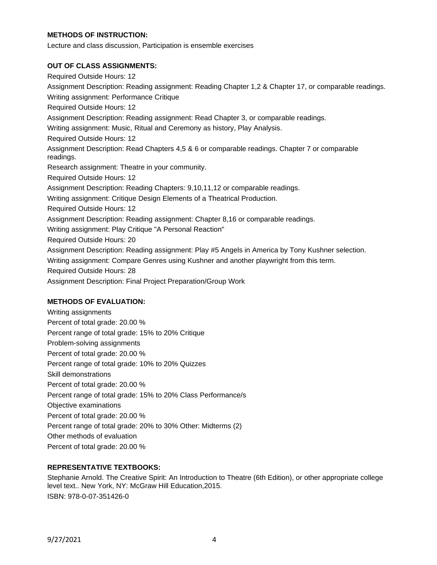### **METHODS OF INSTRUCTION:**

Lecture and class discussion, Participation is ensemble exercises

### **OUT OF CLASS ASSIGNMENTS:**

Required Outside Hours: 12 Assignment Description: Reading assignment: Reading Chapter 1,2 & Chapter 17, or comparable readings. Writing assignment: Performance Critique Required Outside Hours: 12 Assignment Description: Reading assignment: Read Chapter 3, or comparable readings. Writing assignment: Music, Ritual and Ceremony as history, Play Analysis. Required Outside Hours: 12 Assignment Description: Read Chapters 4,5 & 6 or comparable readings. Chapter 7 or comparable readings. Research assignment: Theatre in your community. Required Outside Hours: 12 Assignment Description: Reading Chapters: 9,10,11,12 or comparable readings. Writing assignment: Critique Design Elements of a Theatrical Production. Required Outside Hours: 12 Assignment Description: Reading assignment: Chapter 8,16 or comparable readings. Writing assignment: Play Critique "A Personal Reaction" Required Outside Hours: 20 Assignment Description: Reading assignment: Play #5 Angels in America by Tony Kushner selection. Writing assignment: Compare Genres using Kushner and another playwright from this term. Required Outside Hours: 28 Assignment Description: Final Project Preparation/Group Work

# **METHODS OF EVALUATION:**

Writing assignments Percent of total grade: 20.00 % Percent range of total grade: 15% to 20% Critique Problem-solving assignments Percent of total grade: 20.00 % Percent range of total grade: 10% to 20% Quizzes Skill demonstrations Percent of total grade: 20.00 % Percent range of total grade: 15% to 20% Class Performance/s Objective examinations Percent of total grade: 20.00 % Percent range of total grade: 20% to 30% Other: Midterms (2) Other methods of evaluation Percent of total grade: 20.00 %

# **REPRESENTATIVE TEXTBOOKS:**

Stephanie Arnold. The Creative Spirit: An Introduction to Theatre (6th Edition), or other appropriate college level text.. New York, NY: McGraw Hill Education,2015. ISBN: 978-0-07-351426-0